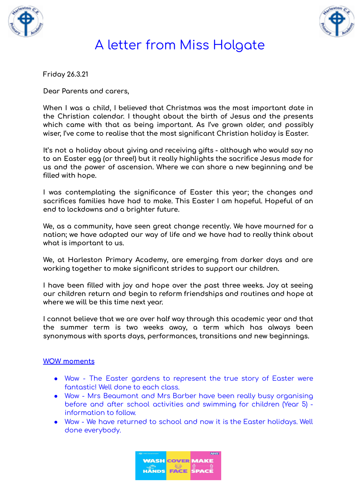



**Friday 26.3.21**

**Dear Parents and carers,**

**When I was a child, I believed that Christmas was the most important date in the Christian calendar. I thought about the birth of Jesus and the presents which came with that as being important. As I've grown older, and possibly wiser, I've come to realise that the most significant Christian holiday is Easter.**

**It's not a holiday about giving and receiving gifts - although who would say no to an Easter egg (or three!) but it really highlights the sacrifice Jesus made for us and the power of ascension. Where we can share a new beginning and be filled with hope.**

**I was contemplating the significance of Easter this year; the changes and sacrifices families have had to make. This Easter I am hopeful. Hopeful of an end to lockdowns and a brighter future.**

**We, as a community, have seen great change recently. We have mourned for a nation; we have adapted our way of life and we have had to really think about what is important to us.**

**We, at Harleston Primary Academy, are emerging from darker days and are working together to make significant strides to support our children.**

**I have been filled with joy and hope over the past three weeks. Joy at seeing our children return and begin to reform friendships and routines and hope at where we will be this time next year.**

**I cannot believe that we are over half way through this academic year and that the summer term is two weeks away, a term which has always been synonymous with sports days, performances, transitions and new beginnings.**

### **WOW moments**

- Wow The Easter gardens to represent the true story of Easter were fantastic! Well done to each class.
- Wow Mrs Beaumont and Mrs Barber have been really busy organising before and after school activities and swimming for children (Year 5) information to follow.
- Wow We have returned to school and now it is the Easter holidays. Well done everybody.

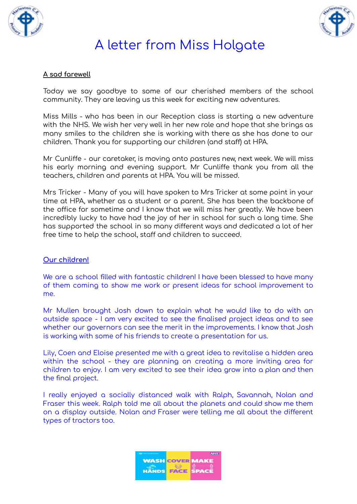



#### **A sad farewell**

Today we say goodbye to some of our cherished members of the school community. They are leaving us this week for exciting new adventures.

Miss Mills - who has been in our Reception class is starting a new adventure with the NHS. We wish her very well in her new role and hope that she brings as many smiles to the children she is working with there as she has done to our children. Thank you for supporting our children (and staff) at HPA.

Mr Cunliffe - our caretaker, is moving onto pastures new, next week. We will miss his early morning and evening support. Mr Cunliffe thank you from all the teachers, children and parents at HPA. You will be missed.

Mrs Tricker - Many of you will have spoken to Mrs Tricker at some point in your time at HPA, whether as a student or a parent. She has been the backbone of the office for sometime and I know that we will miss her greatly. We have been incredibly lucky to have had the joy of her in school for such a long time. She has supported the school in so many different ways and dedicated a lot of her free time to help the school, staff and children to succeed.

#### **Our children!**

We are a school filled with fantastic children! I have been blessed to have many of them coming to show me work or present ideas for school improvement to me.

Mr Mullen brought Josh down to explain what he would like to do with an outside space - I am very excited to see the finalised project ideas and to see whether our governors can see the merit in the improvements. I know that Josh is working with some of his friends to create a presentation for us.

Lily, Coen and Eloise presented me with a great idea to revitalise a hidden area within the school - they are planning on creating a more inviting area for children to enjoy. I am very excited to see their idea grow into a plan and then the final project.

I really enjoyed a socially distanced walk with Ralph, Savannah, Nolan and Fraser this week. Ralph told me all about the planets and could show me them on a display outside. Nolan and Fraser were telling me all about the different types of tractors too.

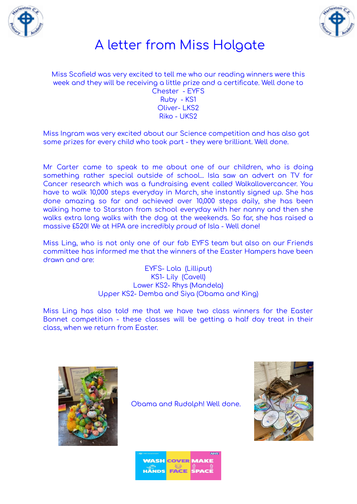



Miss Scofield was very excited to tell me who our reading winners were this week and they will be receiving a little prize and a certificate. Well done to Chester - EYFS Ruby - KS1 Oliver- LKS2 Riko - UKS2

Miss Ingram was very excited about our Science competition and has also got some prizes for every child who took part - they were brilliant. Well done.

Mr Carter came to speak to me about one of our children, who is doing something rather special outside of school... Isla saw an advert on TV for Cancer research which was a fundraising event called Walkallovercancer. You have to walk 10,000 steps everyday in March, she instantly signed up. She has done amazing so far and achieved over 10,000 steps daily, she has been walking home to Starston from school everyday with her nanny and then she walks extra long walks with the dog at the weekends. So far, she has raised a massive £520! We at HPA are incredibly proud of Isla - Well done!

Miss Ling, who is not only one of our fab EYFS team but also on our Friends committee has informed me that the winners of the Easter Hampers have been drawn and are:

> EYFS- Lola (Lilliput) KS1- Lily (Cavell) Lower KS2- Rhys (Mandela) Upper KS2- Demba and Siya (Obama and King)

Miss Ling has also told me that we have two class winners for the Easter Bonnet competition - these classes will be getting a half day treat in their class, when we return from Easter.



Obama and Rudolph! Well done.